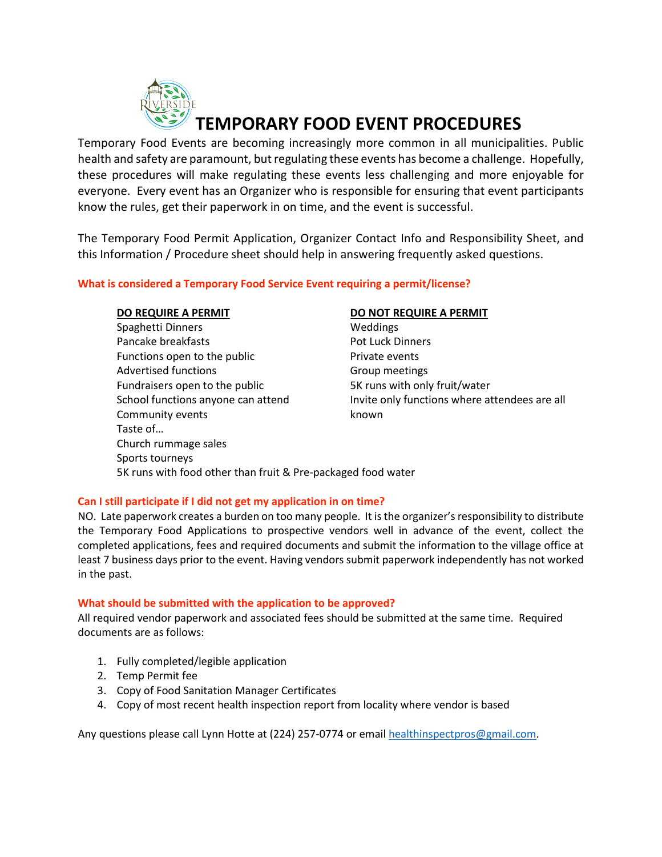

Temporary Food Events are becoming increasingly more common in all municipalities. Public health and safety are paramount, but regulating these events has become a challenge. Hopefully, these procedures will make regulating these events less challenging and more enjoyable for everyone. Every event has an Organizer who is responsible for ensuring that event participants know the rules, get their paperwork in on time, and the event is successful.

The Temporary Food Permit Application, Organizer Contact Info and Responsibility Sheet, and this Information / Procedure sheet should help in answering frequently asked questions.

### **What is considered a Temporary Food Service Event requiring a permit/license?**

#### **DO REQUIRE A PERMIT DO NOT REQUIRE A PERMIT**

Spaghetti Dinners **Weddings** Pancake breakfasts **Pancake Breakfasts** Pot Luck Dinners Functions open to the public **Private events** Advertised functions and a settlement of Group meetings Fundraisers open to the public 5K runs with only fruit/water School functions anyone can attend Invite only functions where attendees are all Community events **Example 20** known Taste of… Church rummage sales Sports tourneys 5K runs with food other than fruit & Pre-packaged food water

### **Can I still participate if I did not get my application in on time?**

NO. Late paperwork creates a burden on too many people. It is the organizer's responsibility to distribute the Temporary Food Applications to prospective vendors well in advance of the event, collect the completed applications, fees and required documents and submit the information to the village office at least 7 business days prior to the event. Having vendors submit paperwork independently has not worked in the past.

#### **What should be submitted with the application to be approved?**

All required vendor paperwork and associated fees should be submitted at the same time. Required documents are as follows:

- 1. Fully completed/legible application
- 2. Temp Permit fee
- 3. Copy of Food Sanitation Manager Certificates
- 4. Copy of most recent health inspection report from locality where vendor is based

Any questions please call Lynn Hotte at (224) 257-0774 or emai[l healthinspectpros@gmail.com.](mailto:healthinspectpros@gmail.com)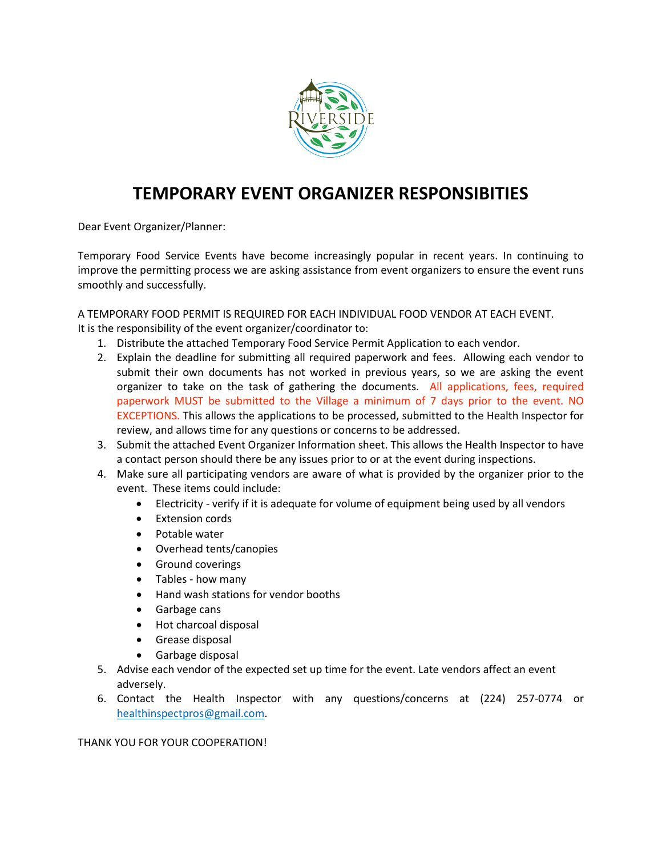

# **TEMPORARY EVENT ORGANIZER RESPONSIBITIES**

Dear Event Organizer/Planner:

Temporary Food Service Events have become increasingly popular in recent years. In continuing to improve the permitting process we are asking assistance from event organizers to ensure the event runs smoothly and successfully.

A TEMPORARY FOOD PERMIT IS REQUIRED FOR EACH INDIVIDUAL FOOD VENDOR AT EACH EVENT.

It is the responsibility of the event organizer/coordinator to:

- 1. Distribute the attached Temporary Food Service Permit Application to each vendor.
- 2. Explain the deadline for submitting all required paperwork and fees. Allowing each vendor to submit their own documents has not worked in previous years, so we are asking the event organizer to take on the task of gathering the documents. All applications, fees, required paperwork MUST be submitted to the Village a minimum of 7 days prior to the event. NO EXCEPTIONS. This allows the applications to be processed, submitted to the Health Inspector for review, and allows time for any questions or concerns to be addressed.
- 3. Submit the attached Event Organizer Information sheet. This allows the Health Inspector to have a contact person should there be any issues prior to or at the event during inspections.
- 4. Make sure all participating vendors are aware of what is provided by the organizer prior to the event. These items could include:
	- Electricity verify if it is adequate for volume of equipment being used by all vendors
	- Extension cords
	- Potable water
	- Overhead tents/canopies
	- Ground coverings
	- Tables how many
	- Hand wash stations for vendor booths
	- Garbage cans
	- Hot charcoal disposal
	- Grease disposal
	- Garbage disposal
- 5. Advise each vendor of the expected set up time for the event. Late vendors affect an event adversely.
- 6. Contact the Health Inspector with any questions/concerns at (224) 257-0774 or [healthinspectpros@gmail.com.](mailto:healthinspectpros@gmail.com)

THANK YOU FOR YOUR COOPERATION!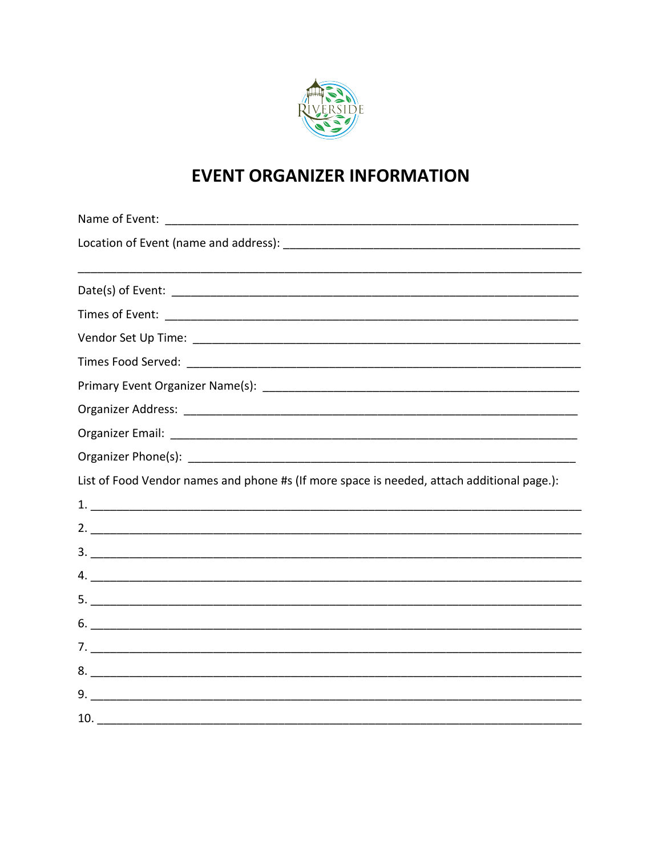

# **EVENT ORGANIZER INFORMATION**

| List of Food Vendor names and phone #s (If more space is needed, attach additional page.): |  |  |  |
|--------------------------------------------------------------------------------------------|--|--|--|
|                                                                                            |  |  |  |
|                                                                                            |  |  |  |
|                                                                                            |  |  |  |
|                                                                                            |  |  |  |
|                                                                                            |  |  |  |
| 6.                                                                                         |  |  |  |
|                                                                                            |  |  |  |
|                                                                                            |  |  |  |
| 9.                                                                                         |  |  |  |
| 10.                                                                                        |  |  |  |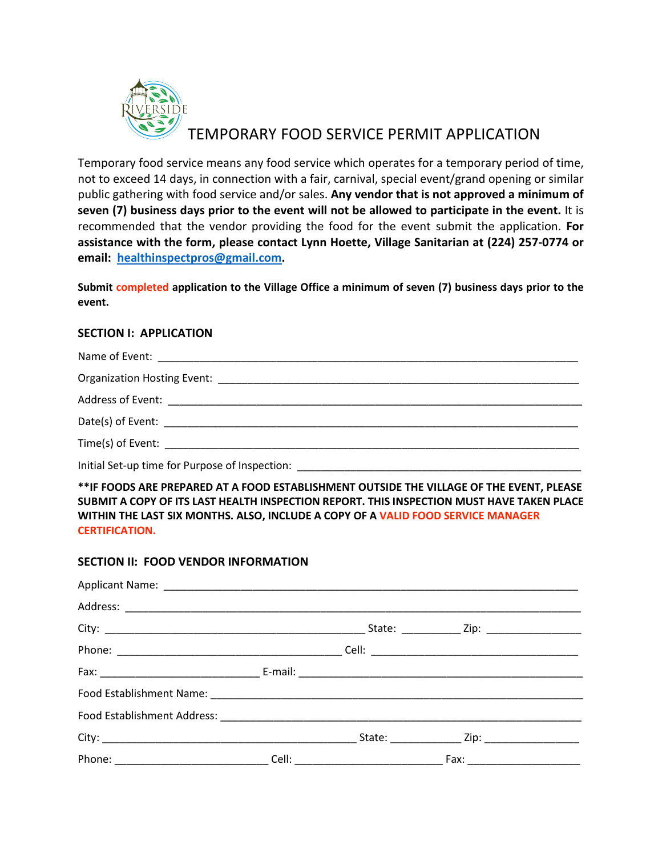

# TEMPORARY FOOD SERVICE PERMIT APPLICATION

Temporary food service means any food service which operates for a temporary period of time, not to exceed 14 days, in connection with a fair, carnival, special event/grand opening or similar public gathering with food service and/or sales. **Any vendor that is not approved a minimum of seven (7) business days prior to the event will not be allowed to participate in the event.** It is recommended that the vendor providing the food for the event submit the application. **For assistance with the form, please contact Lynn Hoette, Village Sanitarian at (224) 257-0774 or email: [healthinspectpros@gmail.com.](mailto:healthinspectpros@gmail.com)**

**Submit completed application to the Village Office a minimum of seven (7) business days prior to the event.**

### **SECTION I: APPLICATION**

| Initial Set-up time for Purpose of Inspection: __________________________________ |  |
|-----------------------------------------------------------------------------------|--|

**\*\*IF FOODS ARE PREPARED AT A FOOD ESTABLISHMENT OUTSIDE THE VILLAGE OF THE EVENT, PLEASE SUBMIT A COPY OF ITS LAST HEALTH INSPECTION REPORT. THIS INSPECTION MUST HAVE TAKEN PLACE WITHIN THE LAST SIX MONTHS. ALSO, INCLUDE A COPY OF A VALID FOOD SERVICE MANAGER CERTIFICATION.**

#### **SECTION II: FOOD VENDOR INFORMATION**

|  | . Fax: __________________________ |  |
|--|-----------------------------------|--|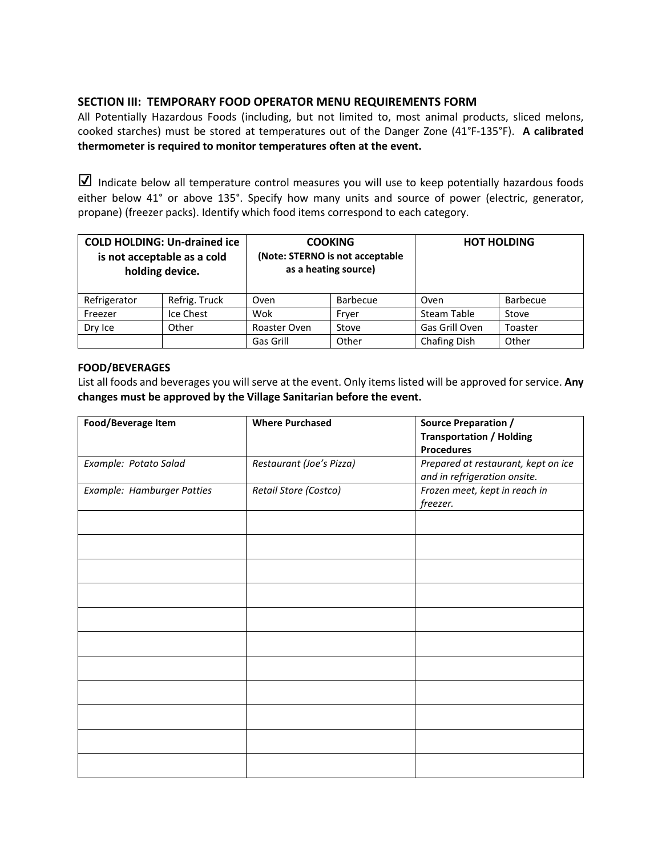### **SECTION III: TEMPORARY FOOD OPERATOR MENU REQUIREMENTS FORM**

All Potentially Hazardous Foods (including, but not limited to, most animal products, sliced melons, cooked starches) must be stored at temperatures out of the Danger Zone (41°F-135°F). **A calibrated thermometer is required to monitor temperatures often at the event.**

☑ Indicate below all temperature control measures you will use to keep potentially hazardous foods either below 41° or above 135°. Specify how many units and source of power (electric, generator, propane) (freezer packs). Identify which food items correspond to each category.

|              | <b>COLD HOLDING: Un-drained ice</b><br>is not acceptable as a cold<br>holding device. | <b>COOKING</b><br>(Note: STERNO is not acceptable<br>as a heating source) |          | <b>HOT HOLDING</b> |                 |
|--------------|---------------------------------------------------------------------------------------|---------------------------------------------------------------------------|----------|--------------------|-----------------|
| Refrigerator | Refrig. Truck                                                                         | Oven                                                                      | Barbecue | Oven               | <b>Barbecue</b> |
| Freezer      | Ice Chest                                                                             | Wok                                                                       | Fryer    | Steam Table        | Stove           |
| Dry Ice      | Other                                                                                 | Roaster Oven                                                              | Stove    | Gas Grill Oven     | Toaster         |
|              |                                                                                       | Gas Grill                                                                 | Other    | Chafing Dish       | Other           |

#### **FOOD/BEVERAGES**

List all foods and beverages you will serve at the event. Only items listed will be approved for service. **Any changes must be approved by the Village Sanitarian before the event.**

| Food/Beverage Item         | <b>Where Purchased</b>   | <b>Source Preparation /</b><br><b>Transportation / Holding</b><br><b>Procedures</b> |
|----------------------------|--------------------------|-------------------------------------------------------------------------------------|
| Example: Potato Salad      | Restaurant (Joe's Pizza) | Prepared at restaurant, kept on ice<br>and in refrigeration onsite.                 |
| Example: Hamburger Patties | Retail Store (Costco)    | Frozen meet, kept in reach in<br>freezer.                                           |
|                            |                          |                                                                                     |
|                            |                          |                                                                                     |
|                            |                          |                                                                                     |
|                            |                          |                                                                                     |
|                            |                          |                                                                                     |
|                            |                          |                                                                                     |
|                            |                          |                                                                                     |
|                            |                          |                                                                                     |
|                            |                          |                                                                                     |
|                            |                          |                                                                                     |
|                            |                          |                                                                                     |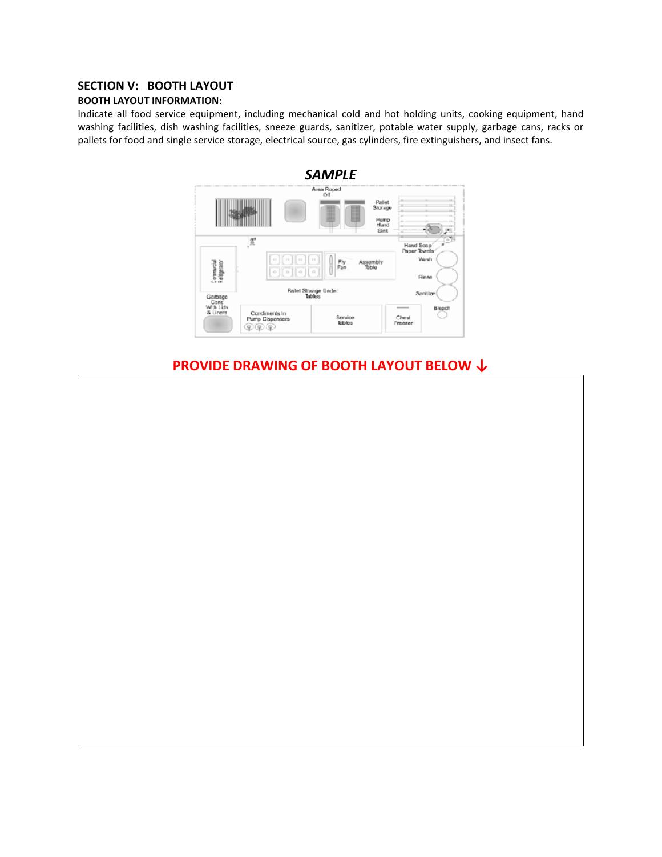### **SECTION V: BOOTH LAYOUT**

#### **BOOTH LAYOUT INFORMATION**:

Indicate all food service equipment, including mechanical cold and hot holding units, cooking equipment, hand washing facilities, dish washing facilities, sneeze guards, sanitizer, potable water supply, garbage cans, racks or pallets for food and single service storage, electrical source, gas cylinders, fire extinguishers, and insect fans.



## **PROVIDE DRAWING OF BOOTH LAYOUT BELOW ↓**